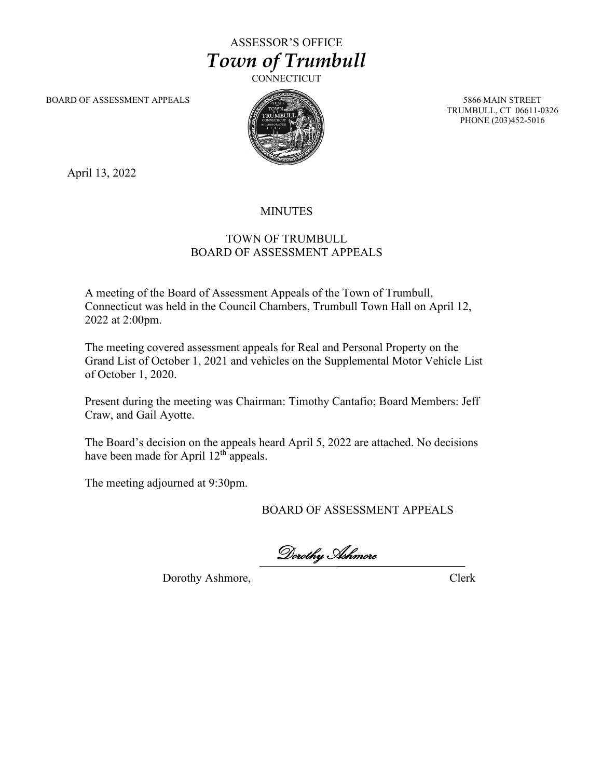## ASSESSOR'S OFFICE *Town of Trumbull*

**CONNECTICUT** 

BOARD OF ASSESSMENT APPEALS 5866 MAIN STREET



TRUMBULL, CT 06611-0326 PHONE (203)452-5016

April 13, 2022

## MINUTES

## TOWN OF TRUMBULL BOARD OF ASSESSMENT APPEALS

A meeting of the Board of Assessment Appeals of the Town of Trumbull, Connecticut was held in the Council Chambers, Trumbull Town Hall on April 12, 2022 at 2:00pm.

The meeting covered assessment appeals for Real and Personal Property on the Grand List of October 1, 2021 and vehicles on the Supplemental Motor Vehicle List of October 1, 2020.

Present during the meeting was Chairman: Timothy Cantafio; Board Members: Jeff Craw, and Gail Ayotte.

The Board's decision on the appeals heard April 5, 2022 are attached. No decisions have been made for April  $12<sup>th</sup>$  appeals.

The meeting adjourned at 9:30pm.

BOARD OF ASSESSMENT APPEALS

Dorothy Ashmore

Dorothy Ashmore, Clerk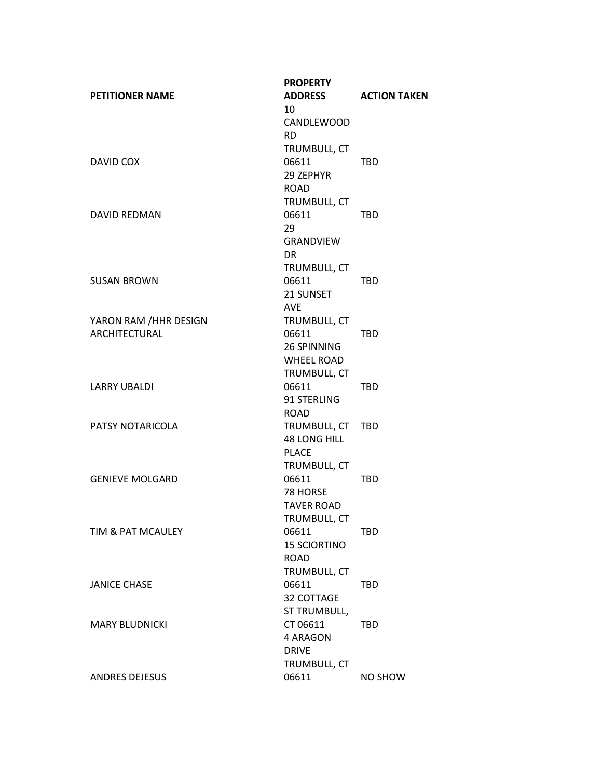|                        | <b>PROPERTY</b>     |                     |
|------------------------|---------------------|---------------------|
| <b>PETITIONER NAME</b> | <b>ADDRESS</b>      | <b>ACTION TAKEN</b> |
|                        | 10                  |                     |
|                        | CANDLEWOOD          |                     |
|                        | <b>RD</b>           |                     |
|                        | TRUMBULL, CT        |                     |
| DAVID COX              | 06611               | TBD                 |
|                        | 29 ZEPHYR           |                     |
|                        | <b>ROAD</b>         |                     |
|                        | TRUMBULL, CT        |                     |
| DAVID REDMAN           | 06611               | <b>TBD</b>          |
|                        | 29                  |                     |
|                        | GRANDVIEW           |                     |
|                        | DR.                 |                     |
|                        | TRUMBULL, CT        |                     |
| <b>SUSAN BROWN</b>     | 06611               | TBD                 |
|                        | 21 SUNSET           |                     |
|                        | <b>AVF</b>          |                     |
| YARON RAM / HHR DESIGN | TRUMBULL, CT        |                     |
| <b>ARCHITECTURAL</b>   | 06611               | <b>TBD</b>          |
|                        | 26 SPINNING         |                     |
|                        | <b>WHEEL ROAD</b>   |                     |
|                        | TRUMBULL, CT        |                     |
| <b>LARRY UBALDI</b>    | 06611               | <b>TBD</b>          |
|                        | 91 STERLING         |                     |
|                        | <b>ROAD</b>         |                     |
| PATSY NOTARICOLA       | TRUMBULL, CT TBD    |                     |
|                        | <b>48 LONG HILL</b> |                     |
|                        | <b>PLACE</b>        |                     |
|                        | TRUMBULL, CT        |                     |
| <b>GENIEVE MOLGARD</b> | 06611               | <b>TBD</b>          |
|                        | 78 HORSE            |                     |
|                        | <b>TAVER ROAD</b>   |                     |
|                        | TRUMBULL, CT        |                     |
| TIM & PAT MCAULEY      | 06611               | <b>TBD</b>          |
|                        | <b>15 SCIORTINO</b> |                     |
|                        | <b>ROAD</b>         |                     |
|                        | TRUMBULL, CT        |                     |
| <b>JANICE CHASE</b>    | 06611               | <b>TBD</b>          |
|                        | 32 COTTAGE          |                     |
|                        | ST TRUMBULL,        |                     |
| <b>MARY BLUDNICKI</b>  | CT 06611            | <b>TBD</b>          |
|                        | 4 ARAGON            |                     |
|                        | <b>DRIVE</b>        |                     |
|                        | TRUMBULL, CT        |                     |
| <b>ANDRES DEJESUS</b>  | 06611               | NO SHOW             |
|                        |                     |                     |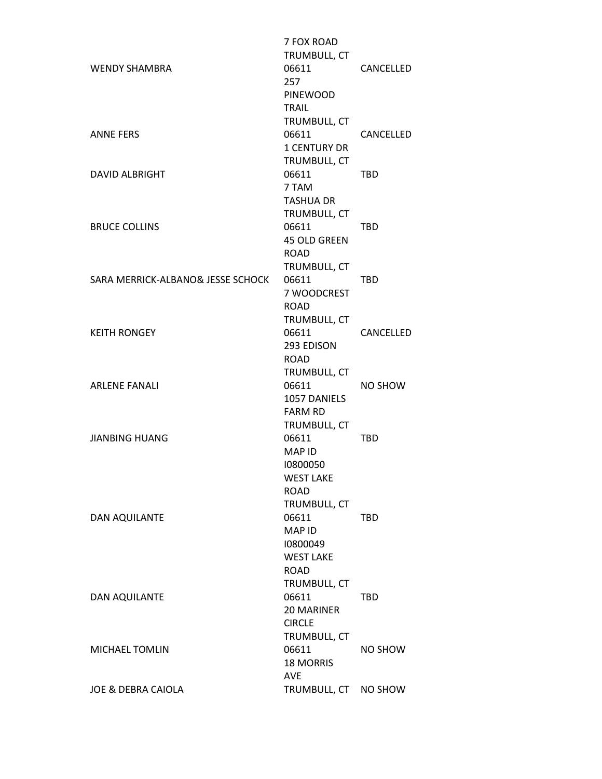|                                   | 7 FOX ROAD<br>TRUMBULL, CT          |            |
|-----------------------------------|-------------------------------------|------------|
| <b>WENDY SHAMBRA</b>              | 06611<br>257                        | CANCELLED  |
|                                   | <b>PINEWOOD</b>                     |            |
|                                   | <b>TRAIL</b>                        |            |
|                                   | TRUMBULL, CT                        |            |
| <b>ANNE FERS</b>                  | 06611                               | CANCELLED  |
|                                   | <b>1 CENTURY DR</b><br>TRUMBULL, CT |            |
| <b>DAVID ALBRIGHT</b>             | 06611                               | <b>TBD</b> |
|                                   | 7 TAM                               |            |
|                                   | <b>TASHUA DR</b>                    |            |
|                                   | TRUMBULL, CT                        |            |
| <b>BRUCE COLLINS</b>              | 06611                               | <b>TBD</b> |
|                                   | 45 OLD GREEN                        |            |
|                                   | <b>ROAD</b>                         |            |
|                                   | TRUMBULL, CT                        |            |
| SARA MERRICK-ALBANO& JESSE SCHOCK | 06611                               | <b>TBD</b> |
|                                   | 7 WOODCREST<br><b>ROAD</b>          |            |
|                                   | TRUMBULL, CT                        |            |
| <b>KEITH RONGEY</b>               | 06611                               | CANCELLED  |
|                                   | 293 EDISON                          |            |
|                                   | <b>ROAD</b>                         |            |
|                                   | TRUMBULL, CT                        |            |
| <b>ARLENE FANALI</b>              | 06611                               | NO SHOW    |
|                                   | 1057 DANIELS                        |            |
|                                   | <b>FARM RD</b>                      |            |
|                                   | TRUMBULL, CT                        |            |
| <b>JIANBING HUANG</b>             | 06611<br><b>MAP ID</b>              | <b>TBD</b> |
|                                   | 10800050                            |            |
|                                   | <b>WEST LAKE</b>                    |            |
|                                   | <b>ROAD</b>                         |            |
|                                   | TRUMBULL, CT                        |            |
| DAN AQUILANTE                     | 06611                               | TBD        |
|                                   | <b>MAP ID</b>                       |            |
|                                   | 10800049                            |            |
|                                   | <b>WEST LAKE</b>                    |            |
|                                   | <b>ROAD</b><br>TRUMBULL, CT         |            |
| <b>DAN AQUILANTE</b>              | 06611                               | TBD        |
|                                   | <b>20 MARINER</b>                   |            |
|                                   | <b>CIRCLE</b>                       |            |
|                                   | TRUMBULL, CT                        |            |
| MICHAEL TOMLIN                    | 06611                               | NO SHOW    |
|                                   | <b>18 MORRIS</b>                    |            |
|                                   | <b>AVE</b>                          |            |
| JOE & DEBRA CAIOLA                | TRUMBULL, CT                        | NO SHOW    |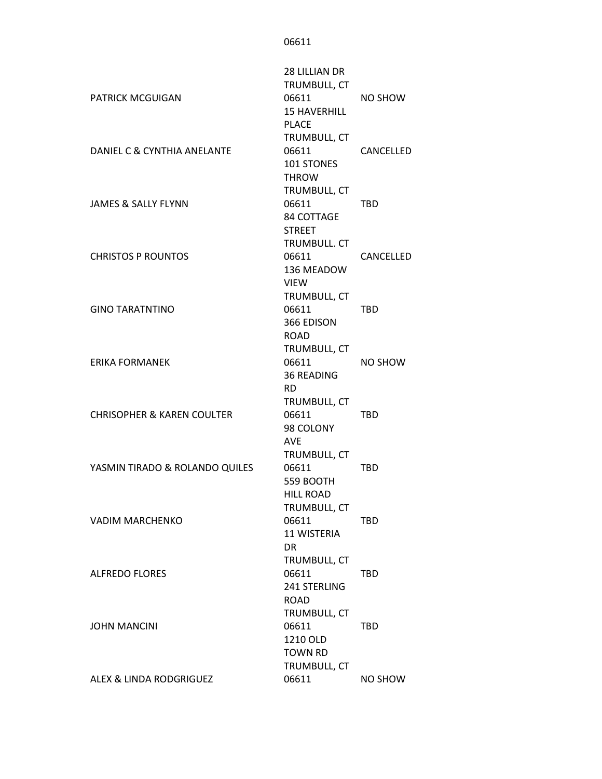06611

| <b>PATRICK MCGUIGAN</b>               | 28 LILLIAN DR<br>TRUMBULL, CT<br>06611<br><b>15 HAVERHILL</b><br><b>PLACE</b> | NO SHOW    |
|---------------------------------------|-------------------------------------------------------------------------------|------------|
| DANIEL C & CYNTHIA ANELANTE           | TRUMBULL, CT<br>06611<br><b>101 STONES</b><br><b>THROW</b>                    | CANCELLED  |
| <b>JAMES &amp; SALLY FLYNN</b>        | TRUMBULL, CT<br>06611<br>84 COTTAGE<br><b>STREET</b>                          | <b>TBD</b> |
| <b>CHRISTOS P ROUNTOS</b>             | <b>TRUMBULL. CT</b><br>06611<br>136 MEADOW<br><b>VIEW</b>                     | CANCELLED  |
| <b>GINO TARATNTINO</b>                | TRUMBULL, CT<br>06611<br>366 EDISON<br><b>ROAD</b>                            | <b>TBD</b> |
| <b>ERIKA FORMANEK</b>                 | TRUMBULL, CT<br>06611<br><b>36 READING</b><br>RD.                             | NO SHOW    |
| <b>CHRISOPHER &amp; KAREN COULTER</b> | TRUMBULL, CT<br>06611<br>98 COLONY<br><b>AVE</b>                              | <b>TBD</b> |
| YASMIN TIRADO & ROLANDO QUILES        | TRUMBULL, CT<br>06611<br>559 BOOTH<br><b>HILL ROAD</b>                        | <b>TBD</b> |
| <b>VADIM MARCHENKO</b>                | TRUMBULL, CT<br>06611<br><b>11 WISTERIA</b><br><b>DR</b>                      | <b>TBD</b> |
| <b>ALFREDO FLORES</b>                 | TRUMBULL, CT<br>06611<br>241 STERLING<br><b>ROAD</b>                          | TBD        |
| <b>JOHN MANCINI</b>                   | TRUMBULL, CT<br>06611<br>1210 OLD<br><b>TOWN RD</b>                           | TBD        |
| ALEX & LINDA RODGRIGUEZ               | TRUMBULL, CT<br>06611                                                         | NO SHOW    |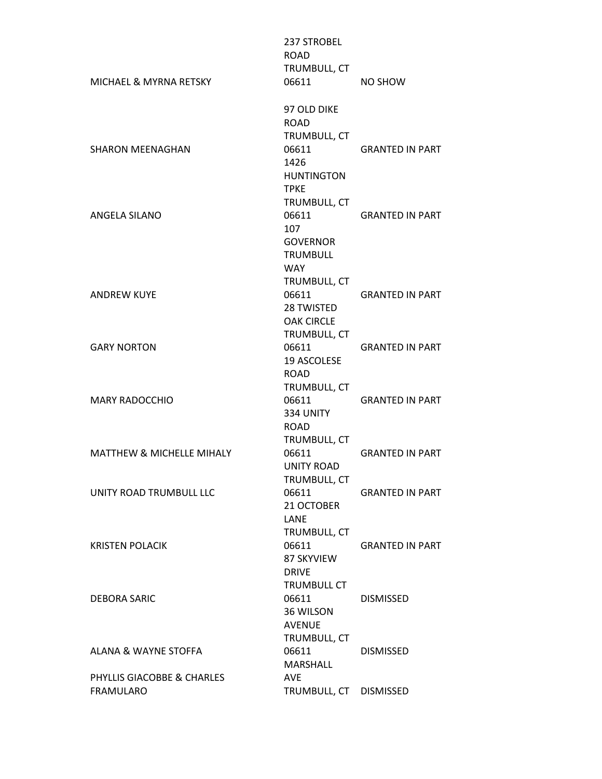| MICHAEL & MYRNA RETSKY                         | 237 STROBEL<br><b>ROAD</b><br>TRUMBULL, CT<br>06611                               | NO SHOW                |
|------------------------------------------------|-----------------------------------------------------------------------------------|------------------------|
| <b>SHARON MEENAGHAN</b>                        | 97 OLD DIKE<br><b>ROAD</b><br>TRUMBULL, CT<br>06611<br>1426<br><b>HUNTINGTON</b>  | <b>GRANTED IN PART</b> |
| ANGELA SILANO                                  | <b>TPKE</b><br>TRUMBULL, CT<br>06611<br>107<br><b>GOVERNOR</b><br><b>TRUMBULL</b> | <b>GRANTED IN PART</b> |
| <b>ANDREW KUYE</b>                             | <b>WAY</b><br>TRUMBULL, CT<br>06611<br>28 TWISTED<br><b>OAK CIRCLE</b>            | <b>GRANTED IN PART</b> |
| <b>GARY NORTON</b>                             | TRUMBULL, CT<br>06611<br>19 ASCOLESE<br><b>ROAD</b>                               | <b>GRANTED IN PART</b> |
| <b>MARY RADOCCHIO</b>                          | TRUMBULL, CT<br>06611<br>334 UNITY<br><b>ROAD</b>                                 | <b>GRANTED IN PART</b> |
| <b>MATTHEW &amp; MICHELLE MIHALY</b>           | TRUMBULL, CT<br>06611<br><b>UNITY ROAD</b>                                        | <b>GRANTED IN PART</b> |
| UNITY ROAD TRUMBULL LLC                        | TRUMBULL, CT<br>06611<br>21 OCTOBER<br>LANE                                       | <b>GRANTED IN PART</b> |
| <b>KRISTEN POLACIK</b>                         | TRUMBULL, CT<br>06611<br>87 SKYVIEW<br><b>DRIVE</b>                               | <b>GRANTED IN PART</b> |
| <b>DEBORA SARIC</b>                            | <b>TRUMBULL CT</b><br>06611<br>36 WILSON<br><b>AVENUE</b>                         | <b>DISMISSED</b>       |
| ALANA & WAYNE STOFFA                           | TRUMBULL, CT<br>06611<br>MARSHALL                                                 | <b>DISMISSED</b>       |
| PHYLLIS GIACOBBE & CHARLES<br><b>FRAMULARO</b> | <b>AVE</b><br>TRUMBULL, CT DISMISSED                                              |                        |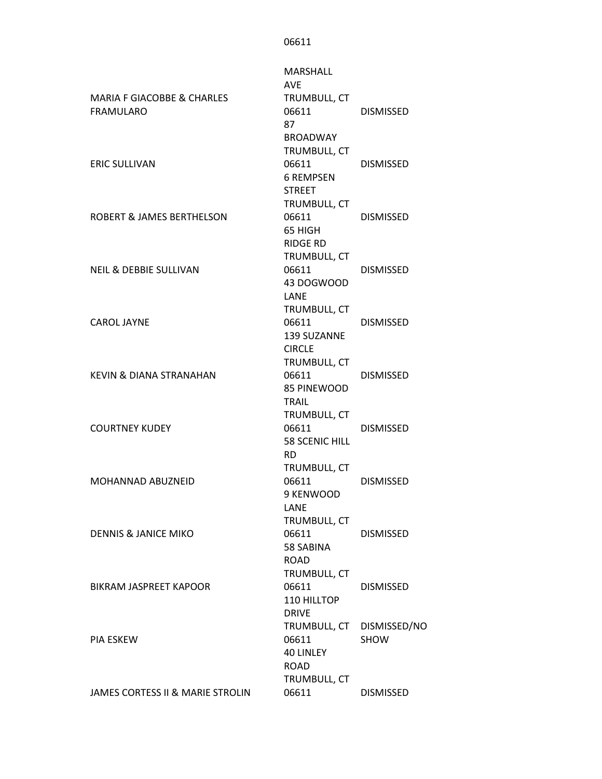MARIA F GIACOBBE & CHARLES FRAMULARO MARSHALL AVE TRUMBULL, CT 06611 DISMISSED ERIC SULLIVAN 87 BROADWAY TRUMBULL, CT 06611 DISMISSED ROBERT & JAMES BERTHELSON 6 REMPSEN STREET TRUMBULL, CT 06611 DISMISSED NEIL & DEBBIE SULLIVAN 65 HIGH RIDGE RD TRUMBULL, CT 06611 DISMISSED CAROL JAYNE 43 DOGWOOD LANE TRUMBULL, CT 06611 DISMISSED KEVIN & DIANA STRANAHAN 139 SUZANNE CIRCLE TRUMBULL, CT 06611 DISMISSED COURTNEY KUDEY 85 PINEWOOD TRAIL TRUMBULL, CT 06611 DISMISSED MOHANNAD ABUZNEID 58 SCENIC HILL RD TRUMBULL, CT 06611 DISMISSED DENNIS & JANICE MIKO 9 KENWOOD LANE TRUMBULL, CT 06611 DISMISSED BIKRAM JASPREET KAPOOR 58 SABINA ROAD TRUMBULL, CT 06611 DISMISSED PIA ESKEW 110 HILLTOP DRIVE TRUMBULL, CT DISMISSED/NO 06611 SHOW JAMES CORTESS II & MARIE STROLIN 40 LINLEY ROAD TRUMBULL, CT 06611 DISMISSED

06611